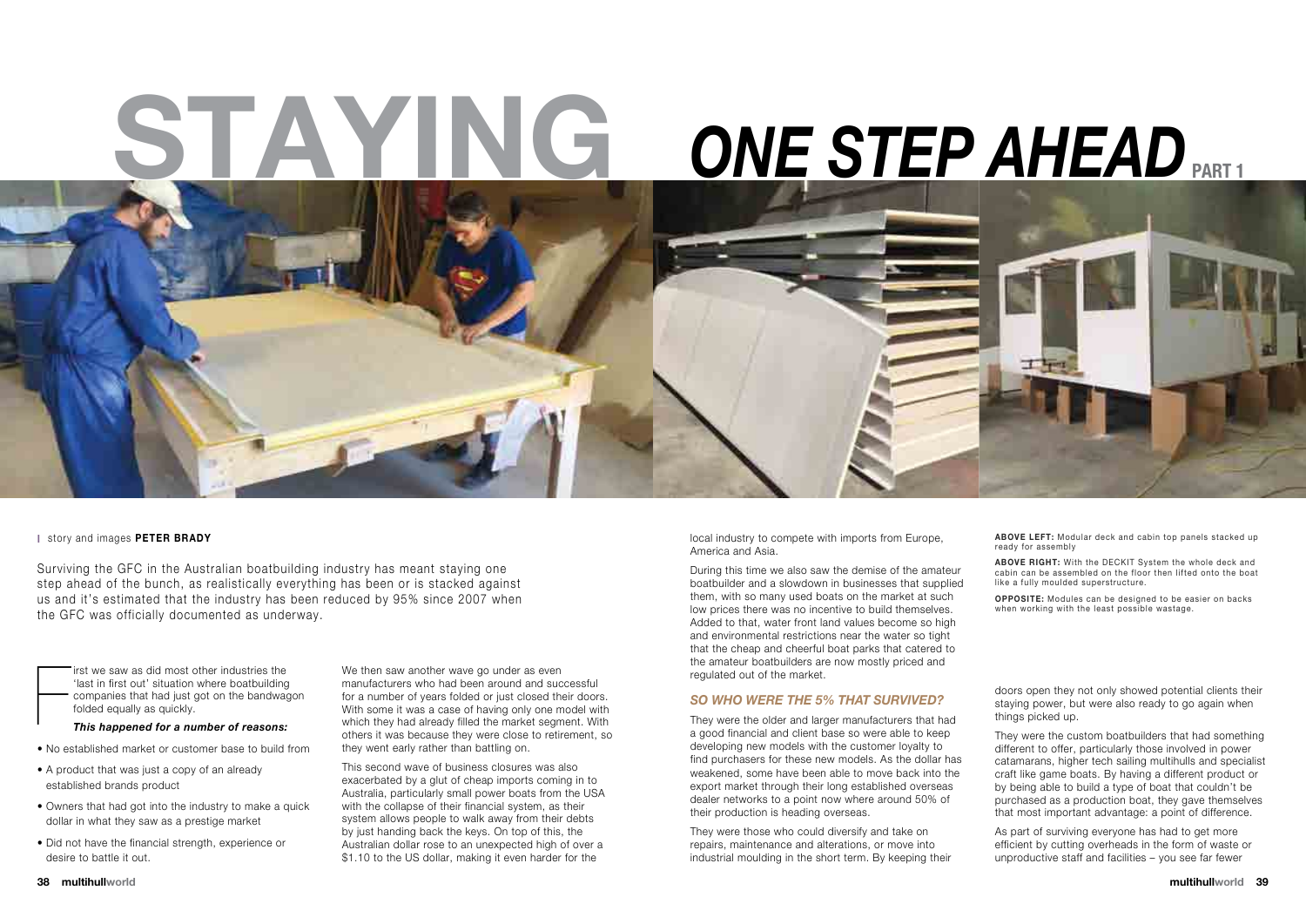F irst we saw as did most other industries the 'last in first out' situation where boatbuilding companies that had just got on the bandwagon folded equally as quickly.

*This happened for a number of reasons:* 

- No established market or customer base to build from
- A product that was just a copy of an already established brands product
- Owners that had got into the industry to make a quick dollar in what they saw as a prestige market
- Did not have the financial strength, experience or desire to battle it out.

This second wave of business closures was also exacerbated by a glut of cheap imports coming in to Australia, particularly small power boats from the USA with the collapse of their financial system, as their system allows people to walk away from their debts by just handing back the keys. On top of this, the Australian dollar rose to an unexpected high of over a \$1.10 to the US dollar, making it even harder for the

We then saw another wave go under as even manufacturers who had been around and successful for a number of years folded or just closed their doors. With some it was a case of having only one model with which they had already filled the market segment. With others it was because they were close to retirement, so they went early rather than battling on.

local industry to compete with imports from Europe, America and Asia.

During this time we also saw the demise of the amateur boatbuilder and a slowdown in businesses that supplied them, with so many used boats on the market at such low prices there was no incentive to build themselves. Added to that, water front land values become so high and environmental restrictions near the water so tight that the cheap and cheerful boat parks that catered to the amateur boatbuilders are now mostly priced and regulated out of the market.

ABOVE LEFT: Modular deck and cabin top panels stacked up ready for assembly

**ABOVE RIGHT:** With the DECKIT System the whole deck and cabin can be assembled on the floor then lifted onto the boat like a fully moulded superstructure.

### *So who were the 5% that survived?*

They were the older and larger manufacturers that had a good financial and client base so were able to keep developing new models with the customer loyalty to find purchasers for these new models. As the dollar has weakened, some have been able to move back into the export market through their long established overseas dealer networks to a point now where around 50% of their production is heading overseas.

They were those who could diversify and take on repairs, maintenance and alterations, or move into industrial moulding in the short term. By keeping their

Surviving the GFC in the Australian boatbuilding industry has meant staying one step ahead of the bunch, as realistically everything has been or is stacked against us and it's estimated that the industry has been reduced by 95% since 2007 when the GFC was officially documented as underway.

#### **I** story and images **peter brady**

doors open they not only showed potential clients their staying power, but were also ready to go again when things picked up.

They were the custom boatbuilders that had something different to offer, particularly those involved in power catamarans, higher tech sailing multihulls and specialist craft like game boats. By having a different product or by being able to build a type of boat that couldn't be purchased as a production boat, they gave themselves that most important advantage: a point of difference.

# **Staying Part 1** *One Step Ahead*



As part of surviving everyone has had to get more efficient by cutting overheads in the form of waste or unproductive staff and facilities – you see far fewer

**Opposite:** Modules can be designed to be easier on backs when working with the least possible wastage.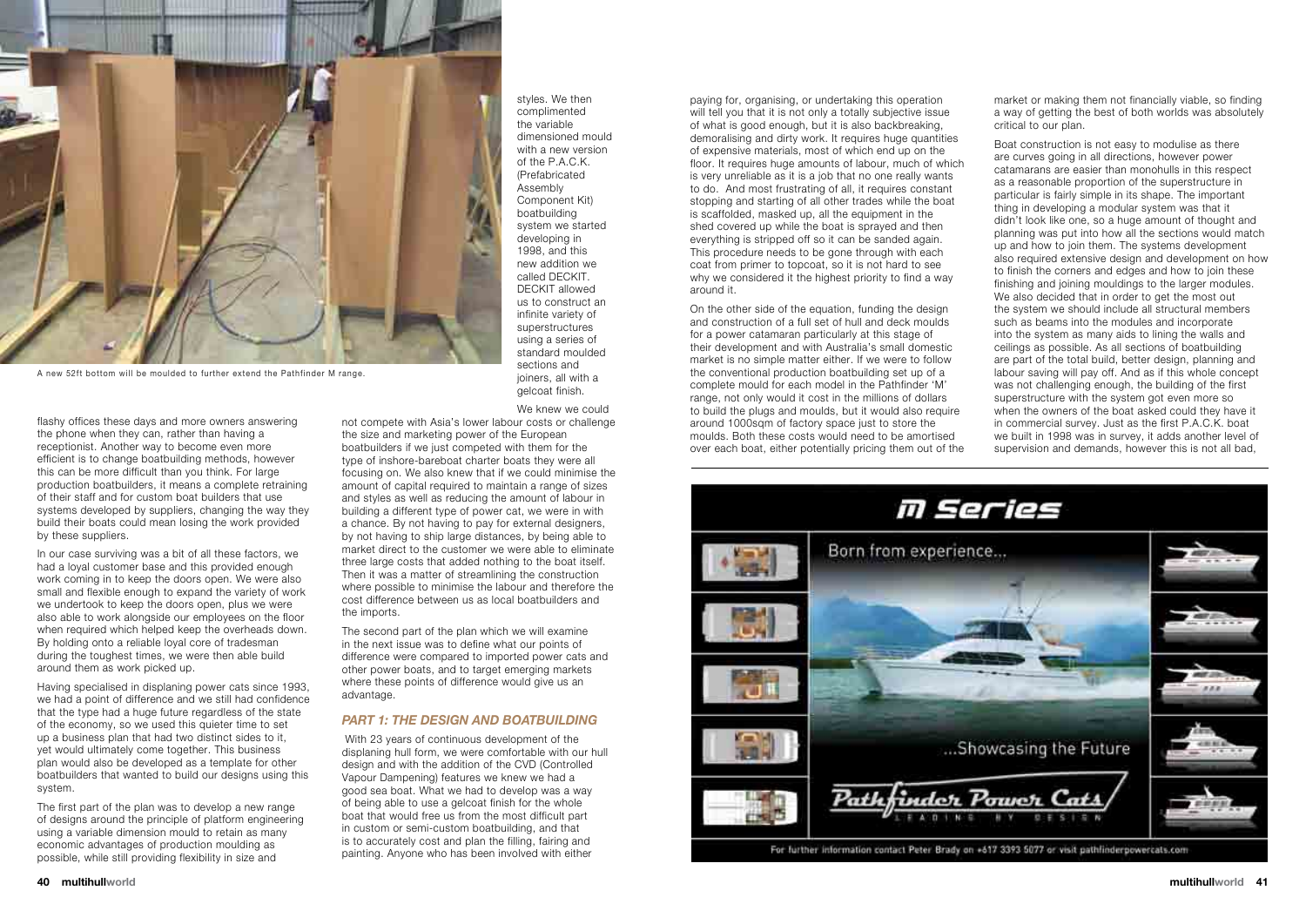flashy offices these days and more owners answering the phone when they can, rather than having a receptionist. Another way to become even more efficient is to change boatbuilding methods, however this can be more difficult than you think. For large production boatbuilders, it means a complete retraining of their staff and for custom boat builders that use systems developed by suppliers, changing the way they build their boats could mean losing the work provided by these suppliers.

In our case surviving was a bit of all these factors, we had a loyal customer base and this provided enough work coming in to keep the doors open. We were also small and flexible enough to expand the variety of work we undertook to keep the doors open, plus we were also able to work alongside our employees on the floor when required which helped keep the overheads down. By holding onto a reliable loyal core of tradesman during the toughest times, we were then able build around them as work picked up.

Having specialised in displaning power cats since 1993, we had a point of difference and we still had confidence that the type had a huge future regardless of the state of the economy, so we used this quieter time to set up a business plan that had two distinct sides to it, yet would ultimately come together. This business plan would also be developed as a template for other boatbuilders that wanted to build our designs using this system.

The first part of the plan was to develop a new range of designs around the principle of platform engineering using a variable dimension mould to retain as many economic advantages of production moulding as possible, while still providing flexibility in size and

styles. We then complimented the variable dimensioned mould with a new version of the P.A.C.K. (Prefabricated Assembly Component Kit) boatbuilding system we started developing in 1998, and this new addition we called DECKIT. DECKIT allowed us to construct an infinite variety of superstructures using a series of standard moulded sections and joiners, all with a gelcoat finish.

We knew we could

not compete with Asia's lower labour costs or challenge the size and marketing power of the European boatbuilders if we just competed with them for the type of inshore-bareboat charter boats they were all focusing on. We also knew that if we could minimise the amount of capital required to maintain a range of sizes and styles as well as reducing the amount of labour in building a different type of power cat, we were in with a chance. By not having to pay for external designers, by not having to ship large distances, by being able to market direct to the customer we were able to eliminate three large costs that added nothing to the boat itself. Then it was a matter of streamlining the construction where possible to minimise the labour and therefore the cost difference between us as local boatbuilders and the imports.

The second part of the plan which we will examine in the next issue was to define what our points of difference were compared to imported power cats and other power boats, and to target emerging markets where these points of difference would give us an advantage.

#### *Part 1: The design and boatbuilding*

 With 23 years of continuous development of the displaning hull form, we were comfortable with our hull design and with the addition of the CVD (Controlled Vapour Dampening) features we knew we had a good sea boat. What we had to develop was a way of being able to use a gelcoat finish for the whole boat that would free us from the most difficult part in custom or semi-custom boatbuilding, and that is to accurately cost and plan the filling, fairing and painting. Anyone who has been involved with either

paying for, organising, or undertaking this operation will tell you that it is not only a totally subjective issue of what is good enough, but it is also backbreaking, demoralising and dirty work. It requires huge quantities of expensive materials, most of which end up on the floor. It requires huge amounts of labour, much of which is very unreliable as it is a job that no one really wants to do. And most frustrating of all, it requires constant stopping and starting of all other trades while the boat is scaffolded, masked up, all the equipment in the shed covered up while the boat is sprayed and then everything is stripped off so it can be sanded again. This procedure needs to be gone through with each coat from primer to topcoat, so it is not hard to see why we considered it the highest priority to find a way around it.

On the other side of the equation, funding the design and construction of a full set of hull and deck moulds for a power catamaran particularly at this stage of their development and with Australia's small domestic market is no simple matter either. If we were to follow the conventional production boatbuilding set up of a complete mould for each model in the Pathfinder 'M' range, not only would it cost in the millions of dollars to build the plugs and moulds, but it would also require around 1000sqm of factory space just to store the moulds. Both these costs would need to be amortised over each boat, either potentially pricing them out of the



market or making them not financially viable, so finding a way of getting the best of both worlds was absolutely critical to our plan.

Boat construction is not easy to modulise as there are curves going in all directions, however power catamarans are easier than monohulls in this respect as a reasonable proportion of the superstructure in particular is fairly simple in its shape. The important thing in developing a modular system was that it didn't look like one, so a huge amount of thought and planning was put into how all the sections would match up and how to join them. The systems development also required extensive design and development on how to finish the corners and edges and how to join these finishing and joining mouldings to the larger modules. We also decided that in order to get the most out the system we should include all structural members such as beams into the modules and incorporate into the system as many aids to lining the walls and ceilings as possible. As all sections of boatbuilding are part of the total build, better design, planning and labour saving will pay off. And as if this whole concept was not challenging enough, the building of the first superstructure with the system got even more so when the owners of the boat asked could they have it in commercial survey. Just as the first P.A.C.K. boat we built in 1998 was in survey, it adds another level of supervision and demands, however this is not all bad,



A new 52ft bottom will be moulded to further extend the Pathfinder M range.